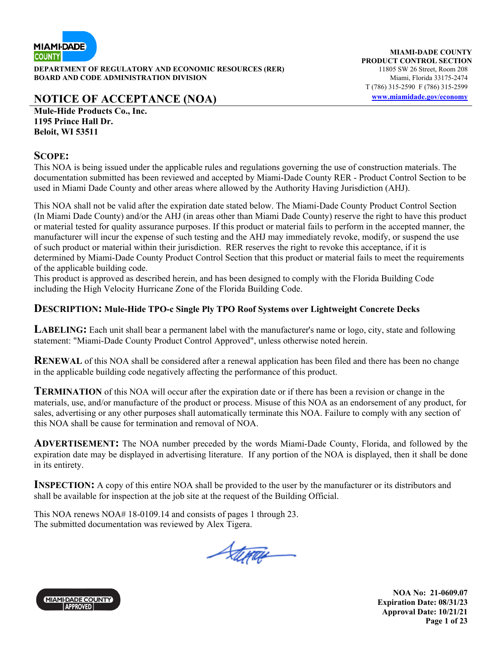

**DEPARTMENT OF REGULATORY AND ECONOMIC RESOURCES (RER)** 11805 SW 26 Street, Room 208 **BOARD AND CODE ADMINISTRATION DIVISION Miami, Florida 33175-2474** 

# **NOTICE OF ACCEPTANCE (NOA) www.miamidade.gov/economy**

**Mule-Hide Products Co., Inc. 1195 Prince Hall Dr. Beloit, WI 53511** 

#### **SCOPE:**

This NOA is being issued under the applicable rules and regulations governing the use of construction materials. The documentation submitted has been reviewed and accepted by Miami-Dade County RER - Product Control Section to be used in Miami Dade County and other areas where allowed by the Authority Having Jurisdiction (AHJ).

This NOA shall not be valid after the expiration date stated below. The Miami-Dade County Product Control Section (In Miami Dade County) and/or the AHJ (in areas other than Miami Dade County) reserve the right to have this product or material tested for quality assurance purposes. If this product or material fails to perform in the accepted manner, the manufacturer will incur the expense of such testing and the AHJ may immediately revoke, modify, or suspend the use of such product or material within their jurisdiction. RER reserves the right to revoke this acceptance, if it is determined by Miami-Dade County Product Control Section that this product or material fails to meet the requirements of the applicable building code.

This product is approved as described herein, and has been designed to comply with the Florida Building Code including the High Velocity Hurricane Zone of the Florida Building Code.

#### **DESCRIPTION: Mule-Hide TPO-c Single Ply TPO Roof Systems over Lightweight Concrete Decks**

**LABELING:** Each unit shall bear a permanent label with the manufacturer's name or logo, city, state and following statement: "Miami-Dade County Product Control Approved", unless otherwise noted herein.

**RENEWAL** of this NOA shall be considered after a renewal application has been filed and there has been no change in the applicable building code negatively affecting the performance of this product.

**TERMINATION** of this NOA will occur after the expiration date or if there has been a revision or change in the materials, use, and/or manufacture of the product or process. Misuse of this NOA as an endorsement of any product, for sales, advertising or any other purposes shall automatically terminate this NOA. Failure to comply with any section of this NOA shall be cause for termination and removal of NOA.

**ADVERTISEMENT:** The NOA number preceded by the words Miami-Dade County, Florida, and followed by the expiration date may be displayed in advertising literature. If any portion of the NOA is displayed, then it shall be done in its entirety.

**INSPECTION:** A copy of this entire NOA shall be provided to the user by the manufacturer or its distributors and shall be available for inspection at the job site at the request of the Building Official.

This NOA renews NOA# 18-0109.14 and consists of pages 1 through 23. The submitted documentation was reviewed by Alex Tigera.

Steray

**MIAMI-DADE COUNTY** APPROVED

**NOA No: 21-0609.07 Expiration Date: 08/31/23 Approval Date: 10/21/21 Page 1 of 23**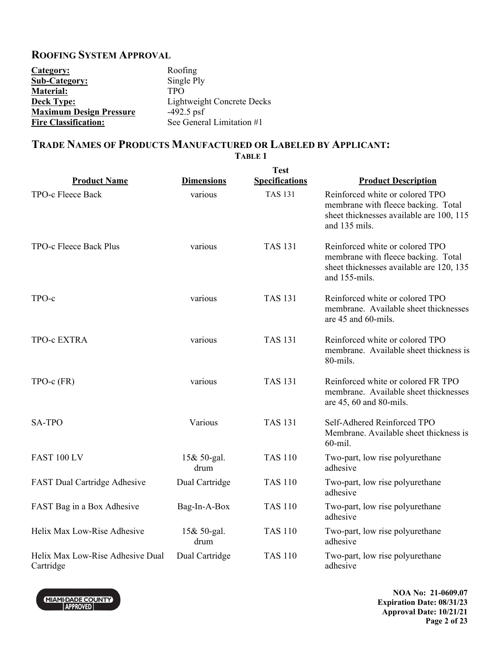#### **ROOFING SYSTEM APPROVAL**

| Category:                      | Roofing                    |
|--------------------------------|----------------------------|
| <b>Sub-Category:</b>           | Single Ply                 |
| <b>Material:</b>               | <b>TPO</b>                 |
| <b>Deck Type:</b>              | Lightweight Concrete Decks |
| <b>Maximum Design Pressure</b> | $-492.5$ psf               |
| <b>Fire Classification:</b>    | See General Limitation #1  |

### **TRADE NAMES OF PRODUCTS MANUFACTURED OR LABELED BY APPLICANT:**

**TABLE 1** 

**Product Name Dimensions Test Specifications Product Description**  TPO-c Fleece Back various various TAS 131 Reinforced white or colored TPO membrane with fleece backing. Total sheet thicknesses available are 100, 115 and 135 mils. TPO-c Fleece Back Plus various TAS 131 Reinforced white or colored TPO membrane with fleece backing. Total sheet thicknesses available are 120, 135 and 155-mils. TPO-c various TAS 131 Reinforced white or colored TPO membrane. Available sheet thicknesses are 45 and 60-mils. TPO-c EXTRA various TAS 131 Reinforced white or colored TPO membrane. Available sheet thickness is 80-mils. TPO-c (FR) various TAS 131 Reinforced white or colored FR TPO membrane. Available sheet thicknesses are 45, 60 and 80-mils. SA-TPO Various Various TAS 131 Self-Adhered Reinforced TPO Membrane. Available sheet thickness is 60-mil. FAST 100 LV 15& 50-gal. drum TAS 110 Two-part, low rise polyurethane adhesive FAST Dual Cartridge Adhesive Dual Cartridge TAS 110 Two-part, low rise polyurethane adhesive FAST Bag in a Box Adhesive Bag-In-A-Box TAS 110 Two-part, low rise polyurethane adhesive Helix Max Low-Rise Adhesive 15& 50-gal. drum TAS 110 Two-part, low rise polyurethane adhesive Helix Max Low-Rise Adhesive Dual Cartridge Dual Cartridge TAS 110 Two-part, low rise polyurethane adhesive



**NOA No: 21-0609.07 Expiration Date: 08/31/23 Approval Date: 10/21/21 Page 2 of 23**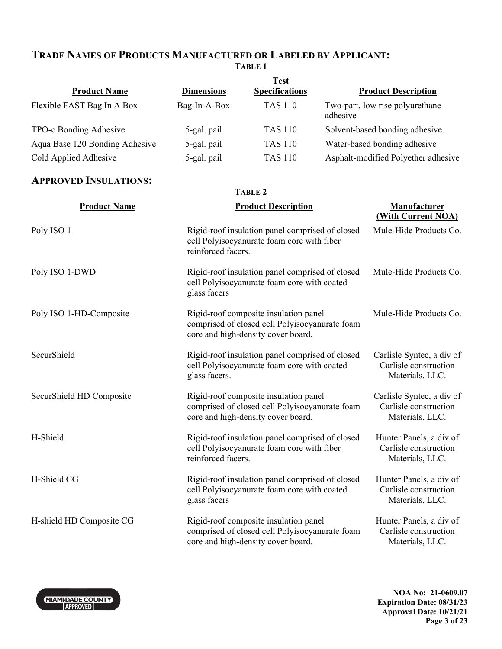#### **TRADE NAMES OF PRODUCTS MANUFACTURED OR LABELED BY APPLICANT: TABLE 1**

| <b>Product Name</b>            | <b>Dimensions</b>  | <b>Test</b><br><b>Specifications</b>                                                                                          |          | <b>Product Description</b>                                            |
|--------------------------------|--------------------|-------------------------------------------------------------------------------------------------------------------------------|----------|-----------------------------------------------------------------------|
| Flexible FAST Bag In A Box     | Bag-In-A-Box       | <b>TAS 110</b>                                                                                                                | adhesive | Two-part, low rise polyurethane                                       |
| TPO-c Bonding Adhesive         | 5-gal. pail        | <b>TAS 110</b>                                                                                                                |          | Solvent-based bonding adhesive.                                       |
| Aqua Base 120 Bonding Adhesive | 5-gal. pail        | <b>TAS 110</b>                                                                                                                |          | Water-based bonding adhesive                                          |
| Cold Applied Adhesive          | 5-gal. pail        | <b>TAS 110</b>                                                                                                                |          | Asphalt-modified Polyether adhesive                                   |
| <b>APPROVED INSULATIONS:</b>   |                    |                                                                                                                               |          |                                                                       |
|                                |                    | <b>TABLE 2</b>                                                                                                                |          |                                                                       |
| <b>Product Name</b>            |                    | <b>Product Description</b>                                                                                                    |          | <b>Manufacturer</b><br>(With Current NOA)                             |
| Poly ISO 1                     | reinforced facers. | Rigid-roof insulation panel comprised of closed<br>cell Polyisocyanurate foam core with fiber                                 |          | Mule-Hide Products Co.                                                |
| Poly ISO 1-DWD                 | glass facers       | Rigid-roof insulation panel comprised of closed<br>cell Polyisocyanurate foam core with coated                                |          | Mule-Hide Products Co.                                                |
| Poly ISO 1-HD-Composite        |                    | Rigid-roof composite insulation panel<br>comprised of closed cell Polyisocyanurate foam<br>core and high-density cover board. |          | Mule-Hide Products Co.                                                |
| SecurShield                    | glass facers.      | Rigid-roof insulation panel comprised of closed<br>cell Polyisocyanurate foam core with coated                                |          | Carlisle Syntec, a div of<br>Carlisle construction<br>Materials, LLC. |
| SecurShield HD Composite       |                    | Rigid-roof composite insulation panel<br>comprised of closed cell Polyisocyanurate foam<br>core and high-density cover board. |          | Carlisle Syntec, a div of<br>Carlisle construction<br>Materials, LLC. |
| H-Shield                       | reinforced facers. | Rigid-roof insulation panel comprised of closed<br>cell Polyisocyanurate foam core with fiber                                 |          | Hunter Panels, a div of<br>Carlisle construction<br>Materials, LLC.   |
| H-Shield CG                    | glass facers       | Rigid-roof insulation panel comprised of closed<br>cell Polyisocyanurate foam core with coated                                |          | Hunter Panels, a div of<br>Carlisle construction<br>Materials, LLC.   |
| H-shield HD Composite CG       |                    | Rigid-roof composite insulation panel<br>comprised of closed cell Polyisocyanurate foam<br>core and high-density cover board. |          | Hunter Panels, a div of<br>Carlisle construction<br>Materials, LLC.   |

MIAMI-DADE COUNTY

**NOA No: 21-0609.07 Expiration Date: 08/31/23 Approval Date: 10/21/21 Page 3 of 23**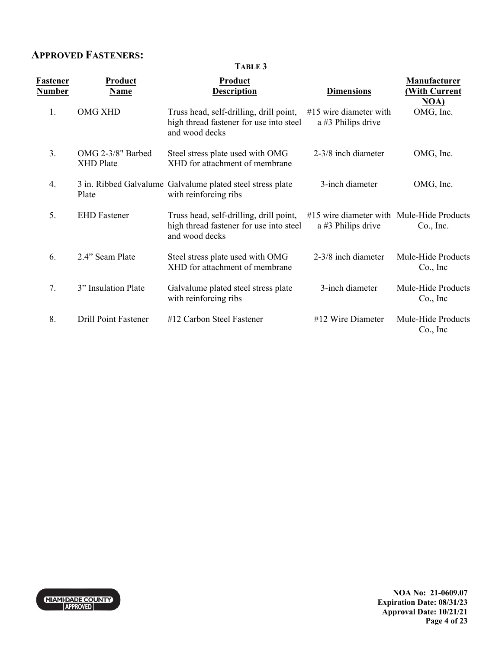### **APPROVED FASTENERS:**

|                                  | TABLE 3                               |                                                                                                      |                                                                 |                                            |
|----------------------------------|---------------------------------------|------------------------------------------------------------------------------------------------------|-----------------------------------------------------------------|--------------------------------------------|
| <u>Fastener</u><br><u>Number</u> | <b>Product</b><br><b>Name</b>         | <b>Product</b><br><b>Description</b>                                                                 | <b>Dimensions</b>                                               | <b>Manufacturer</b><br><b>With Current</b> |
| 1.                               | <b>OMG XHD</b>                        | Truss head, self-drilling, drill point,<br>high thread fastener for use into steel<br>and wood decks | $#15$ wire diameter with<br>a #3 Philips drive                  | NOA)<br>OMG, Inc.                          |
| 3.                               | OMG 2-3/8" Barbed<br><b>XHD</b> Plate | Steel stress plate used with OMG<br>XHD for attachment of membrane                                   | 2-3/8 inch diameter                                             | OMG, Inc.                                  |
| 4.                               | Plate                                 | 3 in. Ribbed Galvalume Galvalume plated steel stress plate<br>with reinforcing ribs                  | 3-inch diameter                                                 | OMG, Inc.                                  |
| 5.                               | <b>EHD</b> Fastener                   | Truss head, self-drilling, drill point,<br>high thread fastener for use into steel<br>and wood decks | #15 wire diameter with Mule-Hide Products<br>a #3 Philips drive | Co., Inc.                                  |
| 6.                               | 2.4" Seam Plate                       | Steel stress plate used with OMG<br>XHD for attachment of membrane                                   | 2-3/8 inch diameter                                             | Mule-Hide Products<br>Co., Inc             |
| 7.                               | 3" Insulation Plate                   | Galvalume plated steel stress plate<br>with reinforcing ribs                                         | 3-inch diameter                                                 | Mule-Hide Products<br>Co., Inc             |
| 8.                               | <b>Drill Point Fastener</b>           | #12 Carbon Steel Fastener                                                                            | $#12$ Wire Diameter                                             | Mule-Hide Products<br>Co., Inc             |



**NOA No: 21-0609.07 Expiration Date: 08/31/23 Approval Date: 10/21/21 Page 4 of 23**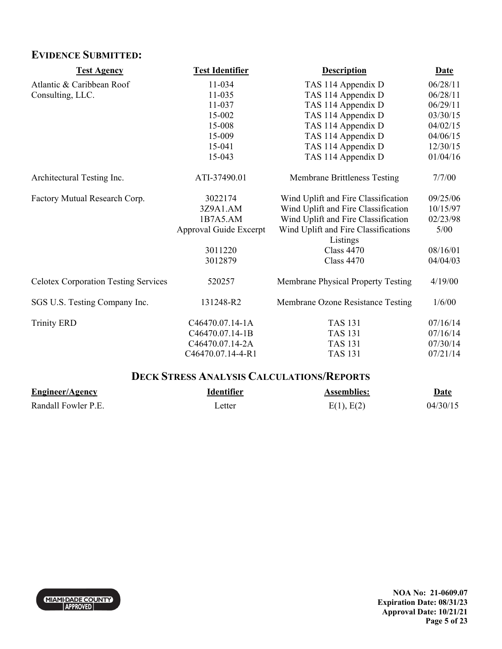## **EVIDENCE SUBMITTED:**

| <b>Test Agency</b>                          | <b>Test Identifier</b> | <b>Description</b>                               | <b>Date</b> |
|---------------------------------------------|------------------------|--------------------------------------------------|-------------|
| Atlantic & Caribbean Roof                   | 11-034                 | TAS 114 Appendix D                               | 06/28/11    |
| Consulting, LLC.                            | 11-035                 | TAS 114 Appendix D                               | 06/28/11    |
|                                             | 11-037                 | TAS 114 Appendix D                               | 06/29/11    |
|                                             | 15-002                 | TAS 114 Appendix D                               | 03/30/15    |
|                                             | 15-008                 | TAS 114 Appendix D                               | 04/02/15    |
|                                             | 15-009                 | TAS 114 Appendix D                               | 04/06/15    |
|                                             | 15-041                 | TAS 114 Appendix D                               | 12/30/15    |
|                                             | 15-043                 | TAS 114 Appendix D                               | 01/04/16    |
| Architectural Testing Inc.                  | ATI-37490.01           | <b>Membrane Brittleness Testing</b>              | 7/7/00      |
| Factory Mutual Research Corp.               | 3022174                | Wind Uplift and Fire Classification              | 09/25/06    |
|                                             | 3Z9A1.AM               | Wind Uplift and Fire Classification              | 10/15/97    |
|                                             | 1B7A5.AM               | Wind Uplift and Fire Classification              | 02/23/98    |
|                                             | Approval Guide Excerpt | Wind Uplift and Fire Classifications<br>Listings | 5/00        |
|                                             | 3011220                | <b>Class 4470</b>                                | 08/16/01    |
|                                             | 3012879                | <b>Class 4470</b>                                | 04/04/03    |
| <b>Celotex Corporation Testing Services</b> | 520257                 | Membrane Physical Property Testing               | 4/19/00     |
| SGS U.S. Testing Company Inc.               | 131248-R2              | Membrane Ozone Resistance Testing                | 1/6/00      |
| <b>Trinity ERD</b>                          | C46470.07.14-1A        | <b>TAS 131</b>                                   | 07/16/14    |
|                                             | C46470.07.14-1B        | <b>TAS 131</b>                                   | 07/16/14    |
|                                             | C46470.07.14-2A        | <b>TAS 131</b>                                   | 07/30/14    |
|                                             | C46470.07.14-4-R1      | <b>TAS 131</b>                                   | 07/21/14    |

## **DECK STRESS ANALYSIS CALCULATIONS/REPORTS**

| <b>Engineer/Agency</b> | Identifier | <b>Assemblies:</b> | Date     |
|------------------------|------------|--------------------|----------|
| Randall Fowler P.E.    | ∟etter     | E(1), E(2)         | 04/30/15 |

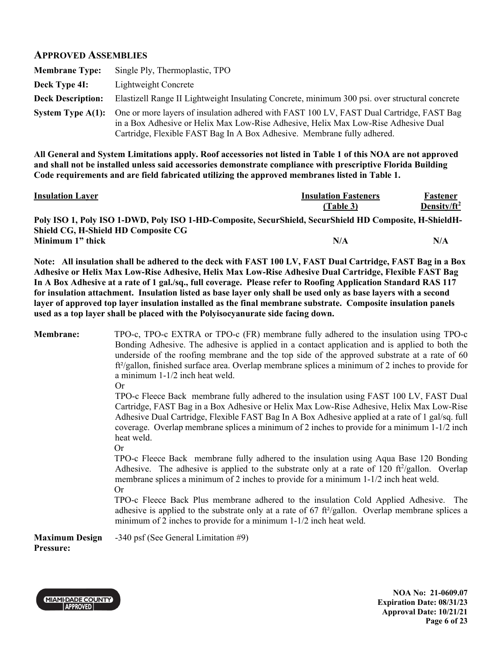#### **APPROVED ASSEMBLIES**

| <b>Membrane Type:</b>    | Single Ply, Thermoplastic, TPO                                                                                                                                                                                                                            |
|--------------------------|-----------------------------------------------------------------------------------------------------------------------------------------------------------------------------------------------------------------------------------------------------------|
| Deck Type 4I:            | Lightweight Concrete                                                                                                                                                                                                                                      |
| <b>Deck Description:</b> | Elastizell Range II Lightweight Insulating Concrete, minimum 300 psi. over structural concrete                                                                                                                                                            |
| System Type $A(1)$ :     | One or more layers of insulation adhered with FAST 100 LV, FAST Dual Cartridge, FAST Bag<br>in a Box Adhesive or Helix Max Low-Rise Adhesive, Helix Max Low-Rise Adhesive Dual<br>Cartridge, Flexible FAST Bag In A Box Adhesive. Membrane fully adhered. |

**All General and System Limitations apply. Roof accessories not listed in Table 1 of this NOA are not approved and shall not be installed unless said accessories demonstrate compliance with prescriptive Florida Building Code requirements and are field fabricated utilizing the approved membranes listed in Table 1.** 

| <b>Insulation Layer</b>             | <b>Insulation Fasteners</b>                                                                            | Fastener        |
|-------------------------------------|--------------------------------------------------------------------------------------------------------|-----------------|
|                                     | (Table 3)                                                                                              | Density/ $ft^2$ |
|                                     | Poly ISO 1, Poly ISO 1-DWD, Poly ISO 1-HD-Composite, SecurShield, SecurShield HD Composite, H-ShieldH- |                 |
| Shield CG, H-Shield HD Composite CG |                                                                                                        |                 |
| Minimum 1" thick                    | N/A                                                                                                    | N/A             |

**Note: All insulation shall be adhered to the deck with FAST 100 LV, FAST Dual Cartridge, FAST Bag in a Box Adhesive or Helix Max Low-Rise Adhesive, Helix Max Low-Rise Adhesive Dual Cartridge, Flexible FAST Bag In A Box Adhesive at a rate of 1 gal./sq., full coverage. Please refer to Roofing Application Standard RAS 117 for insulation attachment. Insulation listed as base layer only shall be used only as base layers with a second layer of approved top layer insulation installed as the final membrane substrate. Composite insulation panels used as a top layer shall be placed with the Polyisocyanurate side facing down.** 

**Membrane:** TPO-c, TPO-c EXTRA or TPO-c (FR) membrane fully adhered to the insulation using TPO-c Bonding Adhesive. The adhesive is applied in a contact application and is applied to both the underside of the roofing membrane and the top side of the approved substrate at a rate of 60 ft<sup>2</sup>/gallon, finished surface area. Overlap membrane splices a minimum of 2 inches to provide for a minimum 1-1/2 inch heat weld.

Or

 TPO-c Fleece Back membrane fully adhered to the insulation using FAST 100 LV, FAST Dual Cartridge, FAST Bag in a Box Adhesive or Helix Max Low-Rise Adhesive, Helix Max Low-Rise Adhesive Dual Cartridge, Flexible FAST Bag In A Box Adhesive applied at a rate of 1 gal/sq. full coverage. Overlap membrane splices a minimum of 2 inches to provide for a minimum 1-1/2 inch heat weld.

Or

TPO-c Fleece Back membrane fully adhered to the insulation using Aqua Base 120 Bonding Adhesive. The adhesive is applied to the substrate only at a rate of 120  $\frac{\hat{\tau}}{2}$  real to Overlap membrane splices a minimum of 2 inches to provide for a minimum 1-1/2 inch heat weld. Or

TPO-c Fleece Back Plus membrane adhered to the insulation Cold Applied Adhesive. The adhesive is applied to the substrate only at a rate of  $67 \text{ ft}^2\text{/gallon}$ . Overlap membrane splices a minimum of 2 inches to provide for a minimum 1-1/2 inch heat weld.

**Maximum Design**  -340 psf (See General Limitation #9)

**Pressure:**



**NOA No: 21-0609.07 Expiration Date: 08/31/23 Approval Date: 10/21/21 Page 6 of 23**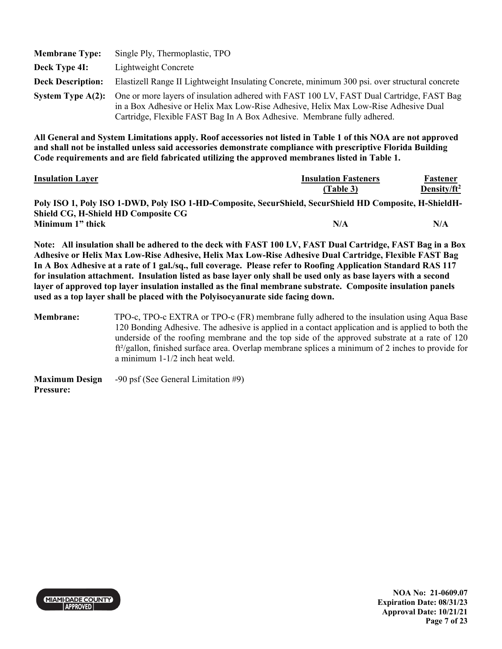| <b>Membrane Type:</b>    | Single Ply, Thermoplastic, TPO                                                                                                                                                                                                                            |
|--------------------------|-----------------------------------------------------------------------------------------------------------------------------------------------------------------------------------------------------------------------------------------------------------|
| Deck Type 4I:            | Lightweight Concrete                                                                                                                                                                                                                                      |
| <b>Deck Description:</b> | Elastizell Range II Lightweight Insulating Concrete, minimum 300 psi. over structural concrete                                                                                                                                                            |
| System Type $A(2)$ :     | One or more layers of insulation adhered with FAST 100 LV, FAST Dual Cartridge, FAST Bag<br>in a Box Adhesive or Helix Max Low-Rise Adhesive, Helix Max Low-Rise Adhesive Dual<br>Cartridge, Flexible FAST Bag In A Box Adhesive. Membrane fully adhered. |

| <b>Insulation Layer</b>                                                                                | <b>Insulation Fasteners</b> | Fastener        |
|--------------------------------------------------------------------------------------------------------|-----------------------------|-----------------|
|                                                                                                        | (Table 3)                   | Density/ $ft^2$ |
| Poly ISO 1, Poly ISO 1-DWD, Poly ISO 1-HD-Composite, SecurShield, SecurShield HD Composite, H-ShieldH- |                             |                 |
| <b>Shield CG, H-Shield HD Composite CG</b>                                                             |                             |                 |
| Minimum 1" thick                                                                                       | N/A                         | N/A             |

**Note: All insulation shall be adhered to the deck with FAST 100 LV, FAST Dual Cartridge, FAST Bag in a Box Adhesive or Helix Max Low-Rise Adhesive, Helix Max Low-Rise Adhesive Dual Cartridge, Flexible FAST Bag In A Box Adhesive at a rate of 1 gal./sq., full coverage. Please refer to Roofing Application Standard RAS 117 for insulation attachment. Insulation listed as base layer only shall be used only as base layers with a second layer of approved top layer insulation installed as the final membrane substrate. Composite insulation panels used as a top layer shall be placed with the Polyisocyanurate side facing down.** 

**Membrane:** TPO-c, TPO-c EXTRA or TPO-c (FR) membrane fully adhered to the insulation using Aqua Base 120 Bonding Adhesive. The adhesive is applied in a contact application and is applied to both the underside of the roofing membrane and the top side of the approved substrate at a rate of 120 ft²/gallon, finished surface area. Overlap membrane splices a minimum of 2 inches to provide for a minimum 1-1/2 inch heat weld.

| <b>Maximum Design</b> | $-90$ psf (See General Limitation #9) |
|-----------------------|---------------------------------------|
| <b>Pressure:</b>      |                                       |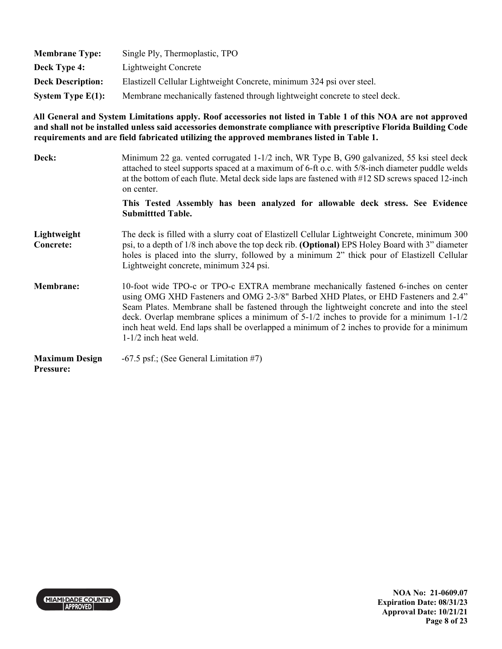| <b>Membrane Type:</b>    | Single Ply, Thermoplastic, TPO                                             |
|--------------------------|----------------------------------------------------------------------------|
| <b>Deck Type 4:</b>      | Lightweight Concrete                                                       |
| <b>Deck Description:</b> | Elastizell Cellular Lightweight Concrete, minimum 324 psi over steel.      |
| System Type $E(1)$ :     | Membrane mechanically fastened through lightweight concrete to steel deck. |

| Deck:                              | Minimum 22 ga. vented corrugated 1-1/2 inch, WR Type B, G90 galvanized, 55 ksi steel deck<br>attached to steel supports spaced at a maximum of 6-ft o.c. with 5/8-inch diameter puddle welds<br>at the bottom of each flute. Metal deck side laps are fastened with #12 SD screws spaced 12-inch<br>on center.                                                                                                                                                                                     |
|------------------------------------|----------------------------------------------------------------------------------------------------------------------------------------------------------------------------------------------------------------------------------------------------------------------------------------------------------------------------------------------------------------------------------------------------------------------------------------------------------------------------------------------------|
|                                    | This Tested Assembly has been analyzed for allowable deck stress. See Evidence<br><b>Submittted Table.</b>                                                                                                                                                                                                                                                                                                                                                                                         |
| Lightweight<br><b>Concrete:</b>    | The deck is filled with a slurry coat of Elastizell Cellular Lightweight Concrete, minimum 300<br>psi, to a depth of 1/8 inch above the top deck rib. (Optional) EPS Holey Board with 3" diameter<br>holes is placed into the slurry, followed by a minimum 2" thick pour of Elastizell Cellular<br>Lightweight concrete, minimum 324 psi.                                                                                                                                                         |
| <b>Membrane:</b>                   | 10-foot wide TPO-c or TPO-c EXTRA membrane mechanically fastened 6-inches on center<br>using OMG XHD Fasteners and OMG 2-3/8" Barbed XHD Plates, or EHD Fasteners and 2.4"<br>Seam Plates. Membrane shall be fastened through the lightweight concrete and into the steel<br>deck. Overlap membrane splices a minimum of $5-1/2$ inches to provide for a minimum $1-1/2$<br>inch heat weld. End laps shall be overlapped a minimum of 2 inches to provide for a minimum<br>$1-1/2$ inch heat weld. |
| <b>Maximum Design</b><br>Pressure: | $-67.5$ psf.; (See General Limitation #7)                                                                                                                                                                                                                                                                                                                                                                                                                                                          |

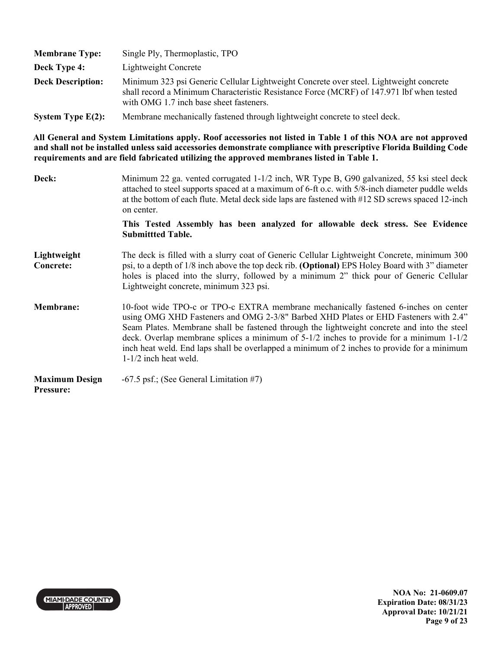| <b>Membrane Type:</b>    | Single Ply, Thermoplastic, TPO                                                                                                                                                                                                |
|--------------------------|-------------------------------------------------------------------------------------------------------------------------------------------------------------------------------------------------------------------------------|
| Deck Type 4:             | Lightweight Concrete                                                                                                                                                                                                          |
| <b>Deck Description:</b> | Minimum 323 psi Generic Cellular Lightweight Concrete over steel. Lightweight concrete<br>shall record a Minimum Characteristic Resistance Force (MCRF) of 147.971 lbf when tested<br>with OMG 1.7 inch base sheet fasteners. |
| System Type $E(2)$ :     | Membrane mechanically fastened through lightweight concrete to steel deck.                                                                                                                                                    |

| Deck:                                     | Minimum 22 ga. vented corrugated 1-1/2 inch, WR Type B, G90 galvanized, 55 ksi steel deck<br>attached to steel supports spaced at a maximum of 6-ft o.c. with 5/8-inch diameter puddle welds<br>at the bottom of each flute. Metal deck side laps are fastened with #12 SD screws spaced 12-inch<br>on center.                                                                                                                                                                                     |
|-------------------------------------------|----------------------------------------------------------------------------------------------------------------------------------------------------------------------------------------------------------------------------------------------------------------------------------------------------------------------------------------------------------------------------------------------------------------------------------------------------------------------------------------------------|
|                                           | This Tested Assembly has been analyzed for allowable deck stress. See Evidence<br><b>Submittted Table.</b>                                                                                                                                                                                                                                                                                                                                                                                         |
| Lightweight<br><b>Concrete:</b>           | The deck is filled with a slurry coat of Generic Cellular Lightweight Concrete, minimum 300<br>psi, to a depth of 1/8 inch above the top deck rib. (Optional) EPS Holey Board with 3" diameter<br>holes is placed into the slurry, followed by a minimum 2" thick pour of Generic Cellular<br>Lightweight concrete, minimum 323 psi.                                                                                                                                                               |
| <b>Membrane:</b>                          | 10-foot wide TPO-c or TPO-c EXTRA membrane mechanically fastened 6-inches on center<br>using OMG XHD Fasteners and OMG 2-3/8" Barbed XHD Plates or EHD Fasteners with 2.4"<br>Seam Plates. Membrane shall be fastened through the lightweight concrete and into the steel<br>deck. Overlap membrane splices a minimum of $5-1/2$ inches to provide for a minimum $1-1/2$<br>inch heat weld. End laps shall be overlapped a minimum of 2 inches to provide for a minimum<br>$1-1/2$ inch heat weld. |
| <b>Maximum Design</b><br><b>Pressure:</b> | $-67.5$ psf.; (See General Limitation #7)                                                                                                                                                                                                                                                                                                                                                                                                                                                          |

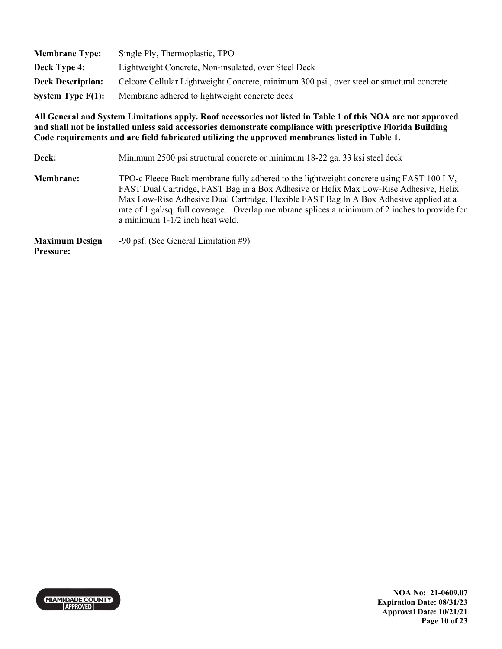| <b>Membrane Type:</b>    | Single Ply, Thermoplastic, TPO                                                              |
|--------------------------|---------------------------------------------------------------------------------------------|
| Deck Type 4:             | Lightweight Concrete, Non-insulated, over Steel Deck                                        |
| <b>Deck Description:</b> | Celcore Cellular Lightweight Concrete, minimum 300 psi., over steel or structural concrete. |
| System Type $F(1)$ :     | Membrane adhered to lightweight concrete deck                                               |

| Deck:                                     | Minimum 2500 psi structural concrete or minimum 18-22 ga. 33 ksi steel deck                                                                                                                                                                                                                                                                                                                                     |
|-------------------------------------------|-----------------------------------------------------------------------------------------------------------------------------------------------------------------------------------------------------------------------------------------------------------------------------------------------------------------------------------------------------------------------------------------------------------------|
| <b>Membrane:</b>                          | TPO-c Fleece Back membrane fully adhered to the lightweight concrete using FAST 100 LV,<br>FAST Dual Cartridge, FAST Bag in a Box Adhesive or Helix Max Low-Rise Adhesive, Helix<br>Max Low-Rise Adhesive Dual Cartridge, Flexible FAST Bag In A Box Adhesive applied at a<br>rate of 1 gal/sq. full coverage. Overlap membrane splices a minimum of 2 inches to provide for<br>a minimum 1-1/2 inch heat weld. |
| <b>Maximum Design</b><br><b>Pressure:</b> | $-90$ psf. (See General Limitation #9)                                                                                                                                                                                                                                                                                                                                                                          |

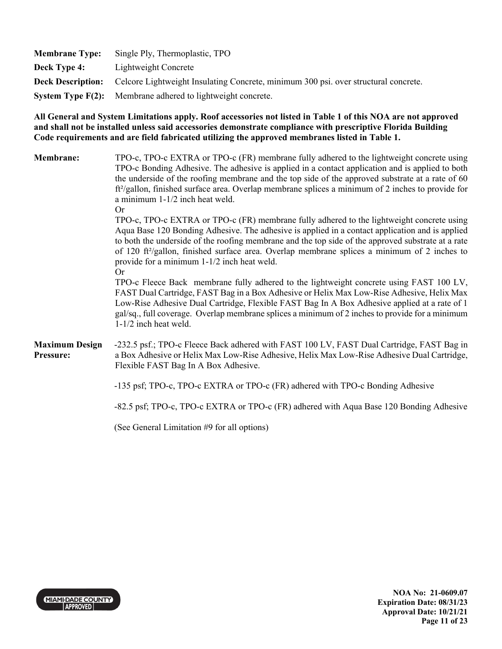| <b>Membrane Type:</b> | Single Ply, Thermoplastic, TPO                                                                               |
|-----------------------|--------------------------------------------------------------------------------------------------------------|
| <b>Deck Type 4:</b>   | Lightweight Concrete                                                                                         |
|                       | <b>Deck Description:</b> Celcore Lightweight Insulating Concrete, minimum 300 psi. over structural concrete. |
|                       | <b>System Type <math>F(2)</math>:</b> Membrane adhered to lightweight concrete.                              |

| <b>Membrane:</b>                   | TPO-c, TPO-c EXTRA or TPO-c (FR) membrane fully adhered to the lightweight concrete using<br>TPO-c Bonding Adhesive. The adhesive is applied in a contact application and is applied to both<br>the underside of the roofing membrane and the top side of the approved substrate at a rate of 60<br>$ft^2$ /gallon, finished surface area. Overlap membrane splices a minimum of 2 inches to provide for<br>a minimum 1-1/2 inch heat weld.<br><b>Or</b>            |
|------------------------------------|---------------------------------------------------------------------------------------------------------------------------------------------------------------------------------------------------------------------------------------------------------------------------------------------------------------------------------------------------------------------------------------------------------------------------------------------------------------------|
|                                    | TPO-c, TPO-c EXTRA or TPO-c (FR) membrane fully adhered to the lightweight concrete using<br>Aqua Base 120 Bonding Adhesive. The adhesive is applied in a contact application and is applied<br>to both the underside of the roofing membrane and the top side of the approved substrate at a rate<br>of 120 ft <sup>2</sup> /gallon, finished surface area. Overlap membrane splices a minimum of 2 inches to<br>provide for a minimum 1-1/2 inch heat weld.<br>Or |
|                                    | TPO-c Fleece Back membrane fully adhered to the lightweight concrete using FAST 100 LV,<br>FAST Dual Cartridge, FAST Bag in a Box Adhesive or Helix Max Low-Rise Adhesive, Helix Max<br>Low-Rise Adhesive Dual Cartridge, Flexible FAST Bag In A Box Adhesive applied at a rate of 1<br>gal/sq., full coverage. Overlap membrane splices a minimum of 2 inches to provide for a minimum<br>$1-1/2$ inch heat weld.                                                  |
| <b>Maximum Design</b><br>Pressure: | -232.5 psf.; TPO-c Fleece Back adhered with FAST 100 LV, FAST Dual Cartridge, FAST Bag in<br>a Box Adhesive or Helix Max Low-Rise Adhesive, Helix Max Low-Rise Adhesive Dual Cartridge,<br>Flexible FAST Bag In A Box Adhesive.                                                                                                                                                                                                                                     |
|                                    | -135 psf; TPO-c, TPO-c EXTRA or TPO-c (FR) adhered with TPO-c Bonding Adhesive                                                                                                                                                                                                                                                                                                                                                                                      |
|                                    | -82.5 psf; TPO-c, TPO-c EXTRA or TPO-c (FR) adhered with Aqua Base 120 Bonding Adhesive                                                                                                                                                                                                                                                                                                                                                                             |
|                                    | (See General Limitation #9 for all options)                                                                                                                                                                                                                                                                                                                                                                                                                         |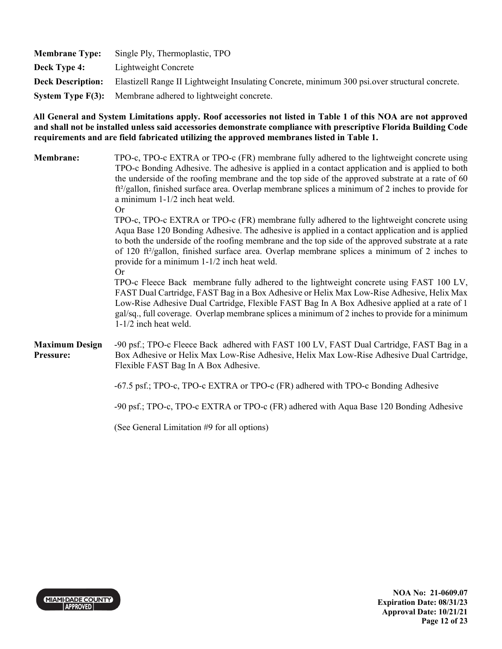| <b>Membrane Type:</b>    | Single Ply, Thermoplastic, TPO                                                                 |
|--------------------------|------------------------------------------------------------------------------------------------|
| Deck Type 4:             | Lightweight Concrete                                                                           |
| <b>Deck Description:</b> | Elastizell Range II Lightweight Insulating Concrete, minimum 300 psi over structural concrete. |
|                          | System Type F(3): Membrane adhered to lightweight concrete.                                    |

| <b>Membrane:</b>                   | TPO-c, TPO-c EXTRA or TPO-c (FR) membrane fully adhered to the lightweight concrete using<br>TPO-c Bonding Adhesive. The adhesive is applied in a contact application and is applied to both<br>the underside of the roofing membrane and the top side of the approved substrate at a rate of 60<br>$ft^2$ /gallon, finished surface area. Overlap membrane splices a minimum of 2 inches to provide for<br>a minimum 1-1/2 inch heat weld.<br><b>Or</b>            |
|------------------------------------|---------------------------------------------------------------------------------------------------------------------------------------------------------------------------------------------------------------------------------------------------------------------------------------------------------------------------------------------------------------------------------------------------------------------------------------------------------------------|
|                                    | TPO-c, TPO-c EXTRA or TPO-c (FR) membrane fully adhered to the lightweight concrete using<br>Aqua Base 120 Bonding Adhesive. The adhesive is applied in a contact application and is applied<br>to both the underside of the roofing membrane and the top side of the approved substrate at a rate<br>of 120 ft <sup>2</sup> /gallon, finished surface area. Overlap membrane splices a minimum of 2 inches to<br>provide for a minimum 1-1/2 inch heat weld.<br>Or |
|                                    | TPO-c Fleece Back membrane fully adhered to the lightweight concrete using FAST 100 LV,<br>FAST Dual Cartridge, FAST Bag in a Box Adhesive or Helix Max Low-Rise Adhesive, Helix Max<br>Low-Rise Adhesive Dual Cartridge, Flexible FAST Bag In A Box Adhesive applied at a rate of 1<br>gal/sq., full coverage. Overlap membrane splices a minimum of 2 inches to provide for a minimum<br>$1-1/2$ inch heat weld.                                                  |
| <b>Maximum Design</b><br>Pressure: | -90 psf.; TPO-c Fleece Back adhered with FAST 100 LV, FAST Dual Cartridge, FAST Bag in a<br>Box Adhesive or Helix Max Low-Rise Adhesive, Helix Max Low-Rise Adhesive Dual Cartridge,<br>Flexible FAST Bag In A Box Adhesive.                                                                                                                                                                                                                                        |
|                                    | -67.5 psf.; TPO-c, TPO-c EXTRA or TPO-c (FR) adhered with TPO-c Bonding Adhesive                                                                                                                                                                                                                                                                                                                                                                                    |
|                                    | -90 psf.; TPO-c, TPO-c EXTRA or TPO-c (FR) adhered with Aqua Base 120 Bonding Adhesive                                                                                                                                                                                                                                                                                                                                                                              |
|                                    | (See General Limitation #9 for all options)                                                                                                                                                                                                                                                                                                                                                                                                                         |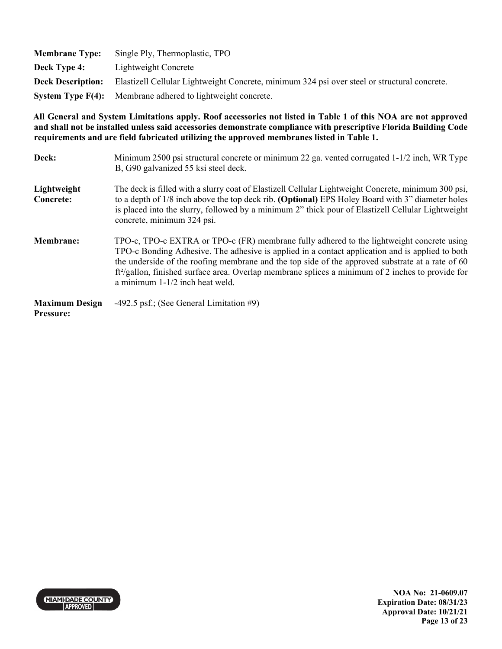| <b>Membrane Type:</b>    | Single Ply, Thermoplastic, TPO                                                               |
|--------------------------|----------------------------------------------------------------------------------------------|
| Deck Type 4:             | Lightweight Concrete                                                                         |
| <b>Deck Description:</b> | Elastizell Cellular Lightweight Concrete, minimum 324 psi over steel or structural concrete. |
|                          | <b>System Type F(4):</b> Membrane adhered to lightweight concrete.                           |

| Deck:                                     | Minimum 2500 psi structural concrete or minimum 22 ga. vented corrugated 1-1/2 inch, WR Type<br>B, G90 galvanized 55 ksi steel deck.                                                                                                                                                                                                                                                                                                        |
|-------------------------------------------|---------------------------------------------------------------------------------------------------------------------------------------------------------------------------------------------------------------------------------------------------------------------------------------------------------------------------------------------------------------------------------------------------------------------------------------------|
| Lightweight<br><b>Concrete:</b>           | The deck is filled with a slurry coat of Elastizell Cellular Lightweight Concrete, minimum 300 psi,<br>to a depth of 1/8 inch above the top deck rib. (Optional) EPS Holey Board with 3" diameter holes<br>is placed into the slurry, followed by a minimum 2" thick pour of Elastizell Cellular Lightweight<br>concrete, minimum 324 psi.                                                                                                  |
| <b>Membrane:</b>                          | TPO-c, TPO-c EXTRA or TPO-c (FR) membrane fully adhered to the lightweight concrete using<br>TPO-c Bonding Adhesive. The adhesive is applied in a contact application and is applied to both<br>the underside of the roofing membrane and the top side of the approved substrate at a rate of 60<br>$ft^2$ /gallon, finished surface area. Overlap membrane splices a minimum of 2 inches to provide for<br>a minimum 1-1/2 inch heat weld. |
| <b>Maximum Design</b><br><b>Pressure:</b> | -492.5 psf.; (See General Limitation $#9$ )                                                                                                                                                                                                                                                                                                                                                                                                 |

MIAMI-DADE COUNTY

**NOA No: 21-0609.07 Expiration Date: 08/31/23 Approval Date: 10/21/21 Page 13 of 23**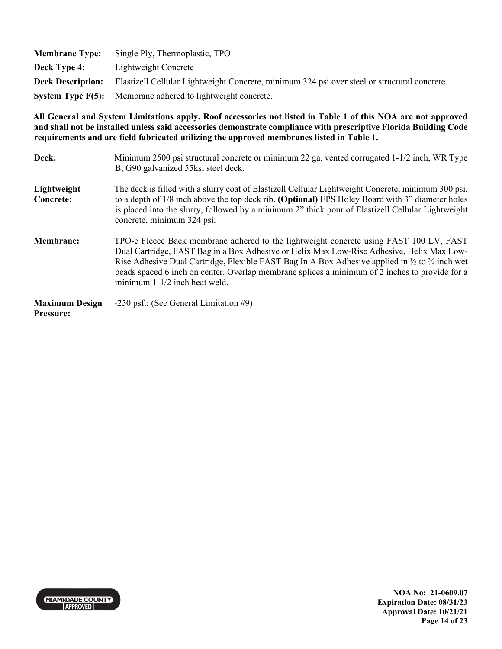| <b>Membrane Type:</b>    | Single Ply, Thermoplastic, TPO                                                               |
|--------------------------|----------------------------------------------------------------------------------------------|
| <b>Deck Type 4:</b>      | Lightweight Concrete                                                                         |
| <b>Deck Description:</b> | Elastizell Cellular Lightweight Concrete, minimum 324 psi over steel or structural concrete. |
|                          | System Type F(5): Membrane adhered to lightweight concrete.                                  |

| Deck:                                     | Minimum 2500 psi structural concrete or minimum 22 ga. vented corrugated 1-1/2 inch, WR Type<br>B, G90 galvanized 55ksi steel deck.                                                                                                                                                                                                                                                                                                              |
|-------------------------------------------|--------------------------------------------------------------------------------------------------------------------------------------------------------------------------------------------------------------------------------------------------------------------------------------------------------------------------------------------------------------------------------------------------------------------------------------------------|
| Lightweight<br>Concrete:                  | The deck is filled with a slurry coat of Elastizell Cellular Lightweight Concrete, minimum 300 psi,<br>to a depth of 1/8 inch above the top deck rib. (Optional) EPS Holey Board with 3" diameter holes<br>is placed into the slurry, followed by a minimum 2" thick pour of Elastizell Cellular Lightweight<br>concrete, minimum 324 psi.                                                                                                       |
| <b>Membrane:</b>                          | TPO-c Fleece Back membrane adhered to the lightweight concrete using FAST 100 LV, FAST<br>Dual Cartridge, FAST Bag in a Box Adhesive or Helix Max Low-Rise Adhesive, Helix Max Low-<br>Rise Adhesive Dual Cartridge, Flexible FAST Bag In A Box Adhesive applied in $\frac{1}{2}$ to $\frac{3}{4}$ inch wet<br>beads spaced 6 inch on center. Overlap membrane splices a minimum of 2 inches to provide for a<br>minimum $1-1/2$ inch heat weld. |
| <b>Maximum Design</b><br><b>Pressure:</b> | $-250$ psf.; (See General Limitation #9)                                                                                                                                                                                                                                                                                                                                                                                                         |

MIAMI-DADE COUNTY

**NOA No: 21-0609.07 Expiration Date: 08/31/23 Approval Date: 10/21/21 Page 14 of 23**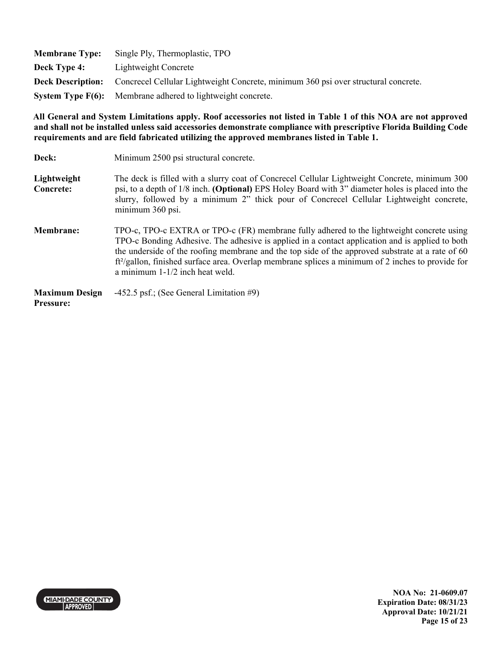| <b>Membrane Type:</b> | Single Ply, Thermoplastic, TPO                                                                              |
|-----------------------|-------------------------------------------------------------------------------------------------------------|
| Deck Type 4:          | Lightweight Concrete                                                                                        |
|                       | <b>Deck Description:</b> Concrecel Cellular Lightweight Concrete, minimum 360 psi over structural concrete. |
|                       | <b>System Type F(6):</b> Membrane adhered to lightweight concrete.                                          |

| Deck:                                     | Minimum 2500 psi structural concrete.                                                                                                                                                                                                                                                                                                                                                                                                         |
|-------------------------------------------|-----------------------------------------------------------------------------------------------------------------------------------------------------------------------------------------------------------------------------------------------------------------------------------------------------------------------------------------------------------------------------------------------------------------------------------------------|
| Lightweight<br>Concrete:                  | The deck is filled with a slurry coat of Concrecel Cellular Lightweight Concrete, minimum 300<br>psi, to a depth of 1/8 inch. (Optional) EPS Holey Board with 3" diameter holes is placed into the<br>slurry, followed by a minimum 2" thick pour of Concrecel Cellular Lightweight concrete,<br>minimum 360 psi.                                                                                                                             |
| <b>Membrane:</b>                          | TPO-c, TPO-c EXTRA or TPO-c (FR) membrane fully adhered to the lightweight concrete using<br>TPO-c Bonding Adhesive. The adhesive is applied in a contact application and is applied to both<br>the underside of the roofing membrane and the top side of the approved substrate at a rate of 60<br>$ft^2$ /gallon, finished surface area. Overlap membrane splices a minimum of 2 inches to provide for<br>a minimum $1-1/2$ inch heat weld. |
| <b>Maximum Design</b><br><b>Pressure:</b> | $-452.5$ psf.; (See General Limitation #9)                                                                                                                                                                                                                                                                                                                                                                                                    |

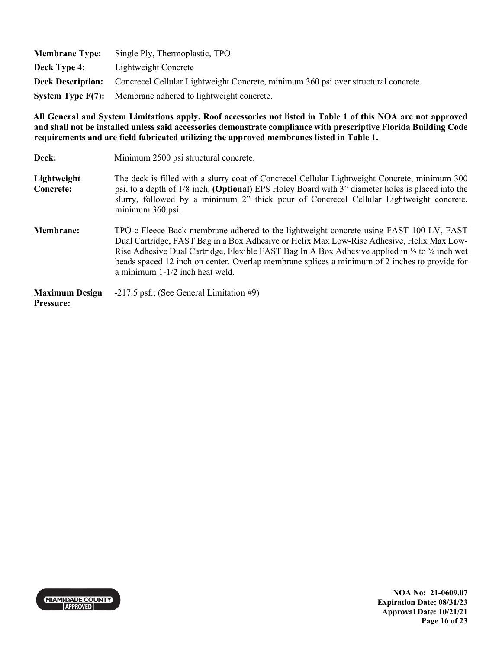| <b>Membrane Type:</b> | Single Ply, Thermoplastic, TPO                                                                              |
|-----------------------|-------------------------------------------------------------------------------------------------------------|
| Deck Type 4:          | Lightweight Concrete                                                                                        |
|                       | <b>Deck Description:</b> Concrecel Cellular Lightweight Concrete, minimum 360 psi over structural concrete. |
|                       | <b>System Type F(7):</b> Membrane adhered to lightweight concrete.                                          |

| Deck:                                     | Minimum 2500 psi structural concrete.                                                                                                                                                                                                                                                                                                                                                                                                             |
|-------------------------------------------|---------------------------------------------------------------------------------------------------------------------------------------------------------------------------------------------------------------------------------------------------------------------------------------------------------------------------------------------------------------------------------------------------------------------------------------------------|
| Lightweight<br>Concrete:                  | The deck is filled with a slurry coat of Concrecel Cellular Lightweight Concrete, minimum 300<br>psi, to a depth of 1/8 inch. (Optional) EPS Holey Board with 3" diameter holes is placed into the<br>slurry, followed by a minimum 2" thick pour of Concrecel Cellular Lightweight concrete,<br>minimum 360 psi.                                                                                                                                 |
| <b>Membrane:</b>                          | TPO-c Fleece Back membrane adhered to the lightweight concrete using FAST 100 LV, FAST<br>Dual Cartridge, FAST Bag in a Box Adhesive or Helix Max Low-Rise Adhesive, Helix Max Low-<br>Rise Adhesive Dual Cartridge, Flexible FAST Bag In A Box Adhesive applied in $\frac{1}{2}$ to $\frac{3}{4}$ inch wet<br>beads spaced 12 inch on center. Overlap membrane splices a minimum of 2 inches to provide for<br>a minimum $1-1/2$ inch heat weld. |
| <b>Maximum Design</b><br><b>Pressure:</b> | $-217.5$ psf.; (See General Limitation #9)                                                                                                                                                                                                                                                                                                                                                                                                        |

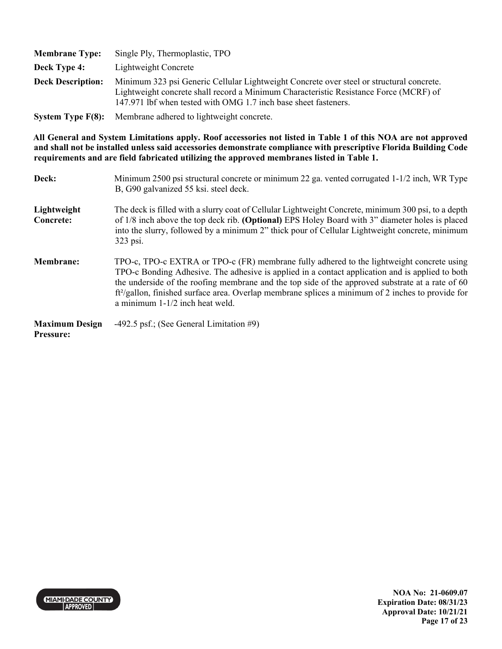| <b>Membrane Type:</b>    | Single Ply, Thermoplastic, TPO                                                                                                                                                                                                                       |
|--------------------------|------------------------------------------------------------------------------------------------------------------------------------------------------------------------------------------------------------------------------------------------------|
| Deck Type 4:             | Lightweight Concrete                                                                                                                                                                                                                                 |
| <b>Deck Description:</b> | Minimum 323 psi Generic Cellular Lightweight Concrete over steel or structural concrete.<br>Lightweight concrete shall record a Minimum Characteristic Resistance Force (MCRF) of<br>147.971 lbf when tested with OMG 1.7 inch base sheet fasteners. |
|                          |                                                                                                                                                                                                                                                      |

**System Type F(8):** Membrane adhered to lightweight concrete.

**All General and System Limitations apply. Roof accessories not listed in Table 1 of this NOA are not approved and shall not be installed unless said accessories demonstrate compliance with prescriptive Florida Building Code requirements and are field fabricated utilizing the approved membranes listed in Table 1.** 

| Deck:                                     | Minimum 2500 psi structural concrete or minimum 22 ga. vented corrugated 1-1/2 inch, WR Type<br>B, G90 galvanized 55 ksi. steel deck.                                                                                                                                                                                                                                                                                                                |
|-------------------------------------------|------------------------------------------------------------------------------------------------------------------------------------------------------------------------------------------------------------------------------------------------------------------------------------------------------------------------------------------------------------------------------------------------------------------------------------------------------|
| Lightweight<br><b>Concrete:</b>           | The deck is filled with a slurry coat of Cellular Lightweight Concrete, minimum 300 psi, to a depth<br>of 1/8 inch above the top deck rib. (Optional) EPS Holey Board with 3" diameter holes is placed<br>into the slurry, followed by a minimum 2" thick pour of Cellular Lightweight concrete, minimum<br>323 psi.                                                                                                                                 |
| <b>Membrane:</b>                          | TPO-c, TPO-c EXTRA or TPO-c (FR) membrane fully adhered to the lightweight concrete using<br>TPO-c Bonding Adhesive. The adhesive is applied in a contact application and is applied to both<br>the underside of the roofing membrane and the top side of the approved substrate at a rate of 60<br>ft <sup>2</sup> /gallon, finished surface area. Overlap membrane splices a minimum of 2 inches to provide for<br>a minimum 1-1/2 inch heat weld. |
| <b>Maximum Design</b><br><b>Pressure:</b> | -492.5 psf.; (See General Limitation $#9$ )                                                                                                                                                                                                                                                                                                                                                                                                          |



**NOA No: 21-0609.07 Expiration Date: 08/31/23 Approval Date: 10/21/21 Page 17 of 23**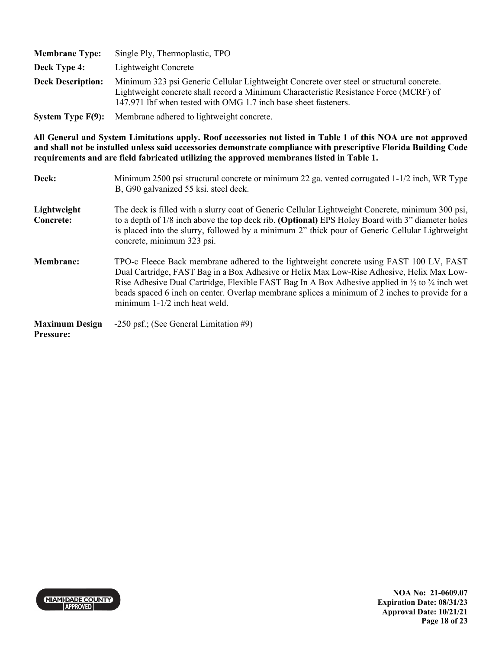| <b>Membrane Type:</b>    | Single Ply, Thermoplastic, TPO                                                                                                                                                                                                                       |
|--------------------------|------------------------------------------------------------------------------------------------------------------------------------------------------------------------------------------------------------------------------------------------------|
| Deck Type 4:             | Lightweight Concrete                                                                                                                                                                                                                                 |
| <b>Deck Description:</b> | Minimum 323 psi Generic Cellular Lightweight Concrete over steel or structural concrete.<br>Lightweight concrete shall record a Minimum Characteristic Resistance Force (MCRF) of<br>147.971 lbf when tested with OMG 1.7 inch base sheet fasteners. |
|                          | <b>System Type F(9):</b> Membrane adhered to lightweight concrete.                                                                                                                                                                                   |

| Deck:                                     | Minimum 2500 psi structural concrete or minimum 22 ga. vented corrugated 1-1/2 inch, WR Type<br>B, G90 galvanized 55 ksi. steel deck.                                                                                                                                                                                                                                                                                                          |
|-------------------------------------------|------------------------------------------------------------------------------------------------------------------------------------------------------------------------------------------------------------------------------------------------------------------------------------------------------------------------------------------------------------------------------------------------------------------------------------------------|
| Lightweight<br>Concrete:                  | The deck is filled with a slurry coat of Generic Cellular Lightweight Concrete, minimum 300 psi,<br>to a depth of 1/8 inch above the top deck rib. (Optional) EPS Holey Board with 3" diameter holes<br>is placed into the slurry, followed by a minimum 2" thick pour of Generic Cellular Lightweight<br>concrete, minimum 323 psi.                                                                                                           |
| <b>Membrane:</b>                          | TPO-c Fleece Back membrane adhered to the lightweight concrete using FAST 100 LV, FAST<br>Dual Cartridge, FAST Bag in a Box Adhesive or Helix Max Low-Rise Adhesive, Helix Max Low-<br>Rise Adhesive Dual Cartridge, Flexible FAST Bag In A Box Adhesive applied in $\frac{1}{2}$ to $\frac{3}{4}$ inch wet<br>beads spaced 6 inch on center. Overlap membrane splices a minimum of 2 inches to provide for a<br>minimum 1-1/2 inch heat weld. |
| <b>Maximum Design</b><br><b>Pressure:</b> | $-250$ psf.; (See General Limitation #9)                                                                                                                                                                                                                                                                                                                                                                                                       |

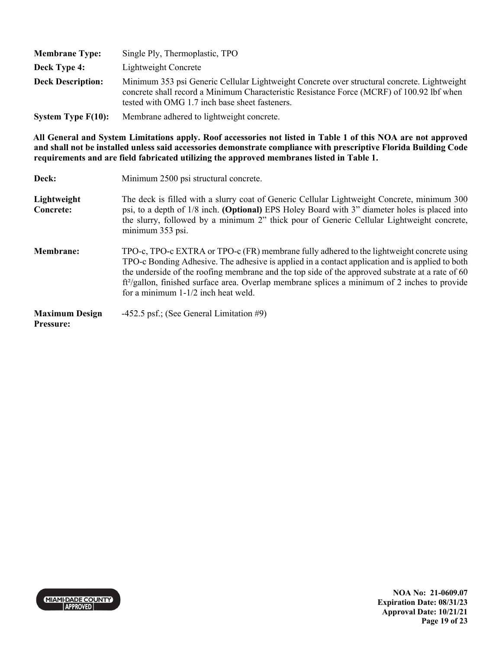| <b>Membrane Type:</b>    | Single Ply, Thermoplastic, TPO                                                                                                                                                                                                             |
|--------------------------|--------------------------------------------------------------------------------------------------------------------------------------------------------------------------------------------------------------------------------------------|
| Deck Type 4:             | Lightweight Concrete                                                                                                                                                                                                                       |
| <b>Deck Description:</b> | Minimum 353 psi Generic Cellular Lightweight Concrete over structural concrete. Lightweight<br>concrete shall record a Minimum Characteristic Resistance Force (MCRF) of 100.92 lbf when<br>tested with OMG 1.7 inch base sheet fasteners. |
| System Type $F(10)$ :    | Membrane adhered to lightweight concrete.                                                                                                                                                                                                  |

| Deck:                              | Minimum 2500 psi structural concrete.                                                                                                                                                                                                                                                                                                                                                                                                                  |
|------------------------------------|--------------------------------------------------------------------------------------------------------------------------------------------------------------------------------------------------------------------------------------------------------------------------------------------------------------------------------------------------------------------------------------------------------------------------------------------------------|
| Lightweight<br><b>Concrete:</b>    | The deck is filled with a slurry coat of Generic Cellular Lightweight Concrete, minimum 300<br>psi, to a depth of 1/8 inch. (Optional) EPS Holey Board with 3" diameter holes is placed into<br>the slurry, followed by a minimum 2" thick pour of Generic Cellular Lightweight concrete,<br>minimum 353 psi.                                                                                                                                          |
| <b>Membrane:</b>                   | TPO-c, TPO-c EXTRA or TPO-c (FR) membrane fully adhered to the lightweight concrete using<br>TPO-c Bonding Adhesive. The adhesive is applied in a contact application and is applied to both<br>the underside of the roofing membrane and the top side of the approved substrate at a rate of 60<br>ft <sup>2</sup> /gallon, finished surface area. Overlap membrane splices a minimum of 2 inches to provide<br>for a minimum $1-1/2$ inch heat weld. |
| <b>Maximum Design</b><br>Pressure: | -452.5 psf.; (See General Limitation $#9$ )                                                                                                                                                                                                                                                                                                                                                                                                            |

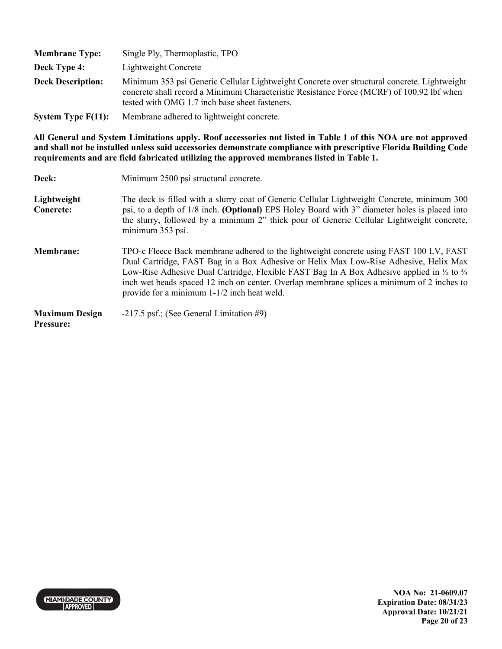| <b>Membrane Type:</b>    | Single Ply, Thermoplastic, TPO                                                                                                                                                                                                             |
|--------------------------|--------------------------------------------------------------------------------------------------------------------------------------------------------------------------------------------------------------------------------------------|
| Deck Type 4:             | Lightweight Concrete                                                                                                                                                                                                                       |
| <b>Deck Description:</b> | Minimum 353 psi Generic Cellular Lightweight Concrete over structural concrete. Lightweight<br>concrete shall record a Minimum Characteristic Resistance Force (MCRF) of 100.92 lbf when<br>tested with OMG 1.7 inch base sheet fasteners. |
| System Type $F(11)$ :    | Membrane adhered to lightweight concrete.                                                                                                                                                                                                  |

| Deck:                                     | Minimum 2500 psi structural concrete.                                                                                                                                                                                                                                                                                                                                                                                                          |
|-------------------------------------------|------------------------------------------------------------------------------------------------------------------------------------------------------------------------------------------------------------------------------------------------------------------------------------------------------------------------------------------------------------------------------------------------------------------------------------------------|
| Lightweight<br><b>Concrete:</b>           | The deck is filled with a slurry coat of Generic Cellular Lightweight Concrete, minimum 300<br>psi, to a depth of 1/8 inch. (Optional) EPS Holey Board with 3" diameter holes is placed into<br>the slurry, followed by a minimum 2" thick pour of Generic Cellular Lightweight concrete,<br>minimum 353 psi.                                                                                                                                  |
| <b>Membrane:</b>                          | TPO-c Fleece Back membrane adhered to the lightweight concrete using FAST 100 LV, FAST<br>Dual Cartridge, FAST Bag in a Box Adhesive or Helix Max Low-Rise Adhesive, Helix Max<br>Low-Rise Adhesive Dual Cartridge, Flexible FAST Bag In A Box Adhesive applied in $\frac{1}{2}$ to $\frac{3}{4}$<br>inch wet beads spaced 12 inch on center. Overlap membrane splices a minimum of 2 inches to<br>provide for a minimum 1-1/2 inch heat weld. |
| <b>Maximum Design</b><br><b>Pressure:</b> | $-217.5$ psf.; (See General Limitation #9)                                                                                                                                                                                                                                                                                                                                                                                                     |

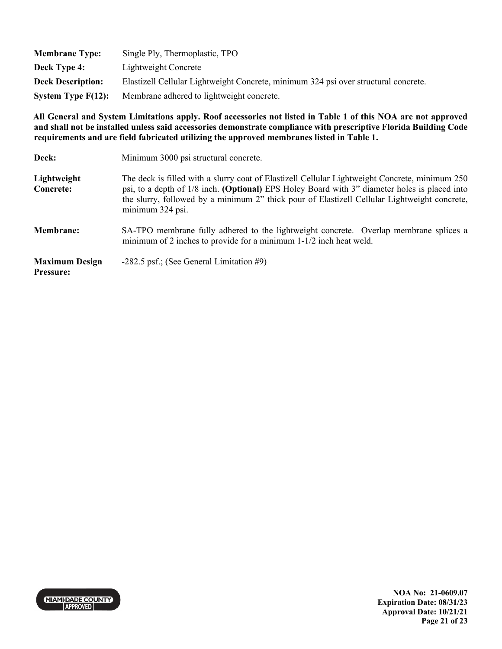| <b>Membrane Type:</b>    | Single Ply, Thermoplastic, TPO                                                      |
|--------------------------|-------------------------------------------------------------------------------------|
| Deck Type 4:             | Lightweight Concrete                                                                |
| <b>Deck Description:</b> | Elastizell Cellular Lightweight Concrete, minimum 324 psi over structural concrete. |
| System Type $F(12)$ :    | Membrane adhered to lightweight concrete.                                           |

| Deck:                                     | Minimum 3000 psi structural concrete.                                                                                                                                                                                                                                                                               |
|-------------------------------------------|---------------------------------------------------------------------------------------------------------------------------------------------------------------------------------------------------------------------------------------------------------------------------------------------------------------------|
| Lightweight<br>Concrete:                  | The deck is filled with a slurry coat of Elastizell Cellular Lightweight Concrete, minimum 250<br>psi, to a depth of 1/8 inch. (Optional) EPS Holey Board with 3" diameter holes is placed into<br>the slurry, followed by a minimum 2" thick pour of Elastizell Cellular Lightweight concrete,<br>minimum 324 psi. |
| <b>Membrane:</b>                          | SA-TPO membrane fully adhered to the lightweight concrete. Overlap membrane splices a<br>minimum of 2 inches to provide for a minimum $1-1/2$ inch heat weld.                                                                                                                                                       |
| <b>Maximum Design</b><br><b>Pressure:</b> | $-282.5$ psf.; (See General Limitation #9)                                                                                                                                                                                                                                                                          |

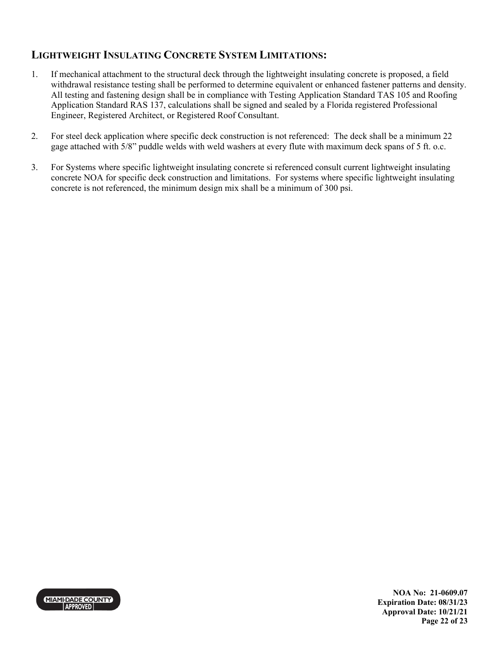## **LIGHTWEIGHT INSULATING CONCRETE SYSTEM LIMITATIONS:**

- 1. If mechanical attachment to the structural deck through the lightweight insulating concrete is proposed, a field withdrawal resistance testing shall be performed to determine equivalent or enhanced fastener patterns and density. All testing and fastening design shall be in compliance with Testing Application Standard TAS 105 and Roofing Application Standard RAS 137, calculations shall be signed and sealed by a Florida registered Professional Engineer, Registered Architect, or Registered Roof Consultant.
- 2. For steel deck application where specific deck construction is not referenced: The deck shall be a minimum 22 gage attached with 5/8" puddle welds with weld washers at every flute with maximum deck spans of 5 ft. o.c.
- 3. For Systems where specific lightweight insulating concrete si referenced consult current lightweight insulating concrete NOA for specific deck construction and limitations. For systems where specific lightweight insulating concrete is not referenced, the minimum design mix shall be a minimum of 300 psi.



**NOA No: 21-0609.07 Expiration Date: 08/31/23 Approval Date: 10/21/21 Page 22 of 23**